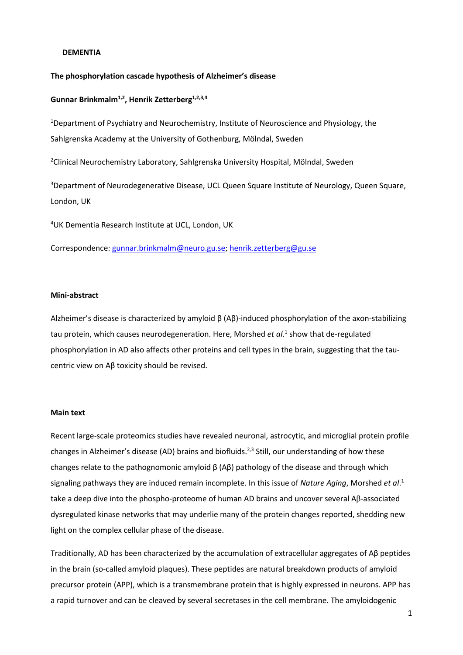#### **DEMENTIA**

#### **The phosphorylation cascade hypothesis of Alzheimer's disease**

### **Gunnar Brinkmalm1,2 , Henrik Zetterberg1,2,3,4**

<sup>1</sup>Department of Psychiatry and Neurochemistry, Institute of Neuroscience and Physiology, the Sahlgrenska Academy at the University of Gothenburg, Mölndal, Sweden

<sup>2</sup>Clinical Neurochemistry Laboratory, Sahlgrenska University Hospital, Mölndal, Sweden

<sup>3</sup>Department of Neurodegenerative Disease, UCL Queen Square Institute of Neurology, Queen Square, London, UK

<sup>4</sup>UK Dementia Research Institute at UCL, London, UK

Correspondence: [gunnar.brinkmalm@neuro.gu.se;](mailto:gunnar.brinkmalm@neuro.gu.se) [henrik.zetterberg@gu.se](mailto:henrik.zetterberg@gu.se)

### **Mini-abstract**

Alzheimer's disease is characterized by amyloid β (Aβ)-induced phosphorylation of the axon-stabilizing tau protein, which causes neurodegeneration. Here, Morshed *et al*. 1 show that de-regulated phosphorylation in AD also affects other proteins and cell types in the brain, suggesting that the taucentric view on Aβ toxicity should be revised.

#### **Main text**

Recent large-scale proteomics studies have revealed neuronal, astrocytic, and microglial protein profile changes in Alzheimer's disease (AD) brains and biofluids.<sup>2,3</sup> Still, our understanding of how these changes relate to the pathognomonic amyloid  $β$  (A $β$ ) pathology of the disease and through which signaling pathways they are induced remain incomplete. In this issue of *Nature Aging*, Morshed *et al*. 1 take a deep dive into the phospho-proteome of human AD brains and uncover several Aβ-associated dysregulated kinase networks that may underlie many of the protein changes reported, shedding new light on the complex cellular phase of the disease.

Traditionally, AD has been characterized by the accumulation of extracellular aggregates of Aβ peptides in the brain (so-called amyloid plaques). These peptides are natural breakdown products of amyloid precursor protein (APP), which is a transmembrane protein that is highly expressed in neurons. APP has a rapid turnover and can be cleaved by several secretases in the cell membrane. The amyloidogenic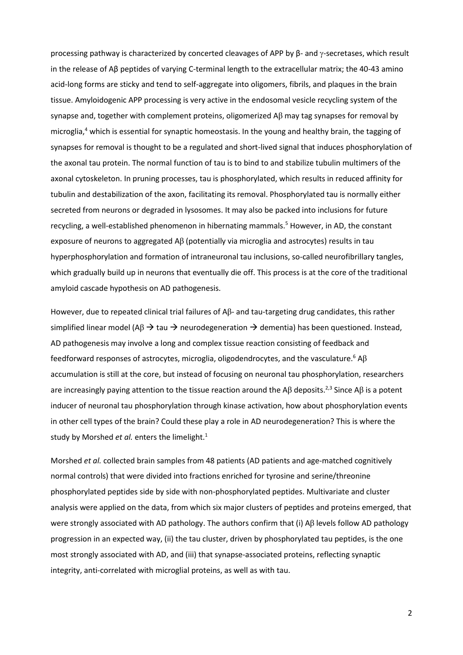processing pathway is characterized by concerted cleavages of APP by β- and γ-secretases, which result in the release of Aβ peptides of varying C-terminal length to the extracellular matrix; the 40-43 amino acid-long forms are sticky and tend to self-aggregate into oligomers, fibrils, and plaques in the brain tissue. Amyloidogenic APP processing is very active in the endosomal vesicle recycling system of the synapse and, together with complement proteins, oligomerized  $\Delta\beta$  may tag synapses for removal by microglia, <sup>4</sup> which is essential for synaptic homeostasis. In the young and healthy brain, the tagging of synapses for removal is thought to be a regulated and short-lived signal that induces phosphorylation of the axonal tau protein. The normal function of tau is to bind to and stabilize tubulin multimers of the axonal cytoskeleton. In pruning processes, tau is phosphorylated, which results in reduced affinity for tubulin and destabilization of the axon, facilitating its removal. Phosphorylated tau is normally either secreted from neurons or degraded in lysosomes. It may also be packed into inclusions for future recycling, a well-established phenomenon in hibernating mammals.<sup>5</sup> However, in AD, the constant exposure of neurons to aggregated Aβ (potentially via microglia and astrocytes) results in tau hyperphosphorylation and formation of intraneuronal tau inclusions, so-called neurofibrillary tangles, which gradually build up in neurons that eventually die off. This process is at the core of the traditional amyloid cascade hypothesis on AD pathogenesis.

However, due to repeated clinical trial failures of Aβ- and tau-targeting drug candidates, this rather simplified linear model (A $\beta \rightarrow$  tau  $\rightarrow$  neurodegeneration  $\rightarrow$  dementia) has been questioned. Instead, AD pathogenesis may involve a long and complex tissue reaction consisting of feedback and feedforward responses of astrocytes, microglia, oligodendrocytes, and the vasculature.<sup>6</sup> A $\beta$ accumulation is still at the core, but instead of focusing on neuronal tau phosphorylation, researchers are increasingly paying attention to the tissue reaction around the A $\beta$  deposits.<sup>2,3</sup> Since A $\beta$  is a potent inducer of neuronal tau phosphorylation through kinase activation, how about phosphorylation events in other cell types of the brain? Could these play a role in AD neurodegeneration? This is where the study by Morshed *et al.* enters the limelight.<sup>1</sup>

Morshed *et al.* collected brain samples from 48 patients (AD patients and age-matched cognitively normal controls) that were divided into fractions enriched for tyrosine and serine/threonine phosphorylated peptides side by side with non-phosphorylated peptides. Multivariate and cluster analysis were applied on the data, from which six major clusters of peptides and proteins emerged, that were strongly associated with AD pathology. The authors confirm that (i) Aβ levels follow AD pathology progression in an expected way, (ii) the tau cluster, driven by phosphorylated tau peptides, is the one most strongly associated with AD, and (iii) that synapse-associated proteins, reflecting synaptic integrity, anti-correlated with microglial proteins, as well as with tau.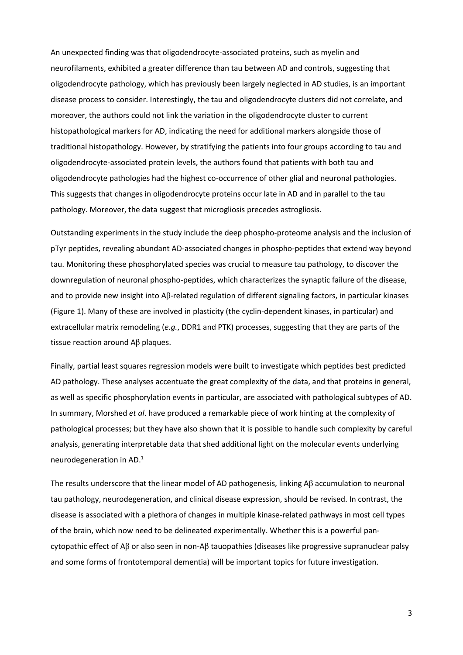An unexpected finding was that oligodendrocyte-associated proteins, such as myelin and neurofilaments, exhibited a greater difference than tau between AD and controls, suggesting that oligodendrocyte pathology, which has previously been largely neglected in AD studies, is an important disease process to consider. Interestingly, the tau and oligodendrocyte clusters did not correlate, and moreover, the authors could not link the variation in the oligodendrocyte cluster to current histopathological markers for AD, indicating the need for additional markers alongside those of traditional histopathology. However, by stratifying the patients into four groups according to tau and oligodendrocyte-associated protein levels, the authors found that patients with both tau and oligodendrocyte pathologies had the highest co-occurrence of other glial and neuronal pathologies. This suggests that changes in oligodendrocyte proteins occur late in AD and in parallel to the tau pathology. Moreover, the data suggest that microgliosis precedes astrogliosis.

Outstanding experiments in the study include the deep phospho-proteome analysis and the inclusion of pTyr peptides, revealing abundant AD-associated changes in phospho-peptides that extend way beyond tau. Monitoring these phosphorylated species was crucial to measure tau pathology, to discover the downregulation of neuronal phospho-peptides, which characterizes the synaptic failure of the disease, and to provide new insight into Aβ-related regulation of different signaling factors, in particular kinases (Figure 1). Many of these are involved in plasticity (the cyclin-dependent kinases, in particular) and extracellular matrix remodeling (*e.g.*, DDR1 and PTK) processes, suggesting that they are parts of the tissue reaction around Aβ plaques.

Finally, partial least squares regression models were built to investigate which peptides best predicted AD pathology. These analyses accentuate the great complexity of the data, and that proteins in general, as well as specific phosphorylation events in particular, are associated with pathological subtypes of AD. In summary, Morshed *et al*. have produced a remarkable piece of work hinting at the complexity of pathological processes; but they have also shown that it is possible to handle such complexity by careful analysis, generating interpretable data that shed additional light on the molecular events underlying neurodegeneration in AD. 1

The results underscore that the linear model of AD pathogenesis, linking Aβ accumulation to neuronal tau pathology, neurodegeneration, and clinical disease expression, should be revised. In contrast, the disease is associated with a plethora of changes in multiple kinase-related pathways in most cell types of the brain, which now need to be delineated experimentally. Whether this is a powerful pancytopathic effect of Aβ or also seen in non-Aβ tauopathies (diseases like progressive supranuclear palsy and some forms of frontotemporal dementia) will be important topics for future investigation.

3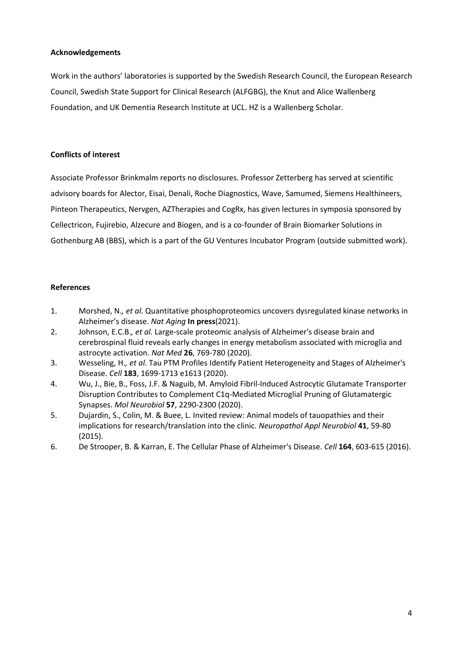# **Acknowledgements**

Work in the authors' laboratories is supported by the Swedish Research Council, the European Research Council, Swedish State Support for Clinical Research (ALFGBG), the Knut and Alice Wallenberg Foundation, and UK Dementia Research Institute at UCL. HZ is a Wallenberg Scholar.

# **Conflicts of interest**

Associate Professor Brinkmalm reports no disclosures. Professor Zetterberg has served at scientific advisory boards for Alector, Eisai, Denali, Roche Diagnostics, Wave, Samumed, Siemens Healthineers, Pinteon Therapeutics, Nervgen, AZTherapies and CogRx, has given lectures in symposia sponsored by Cellectricon, Fujirebio, Alzecure and Biogen, and is a co-founder of Brain Biomarker Solutions in Gothenburg AB (BBS), which is a part of the GU Ventures Incubator Program (outside submitted work).

# **References**

- 1. Morshed, N.*, et al.* Quantitative phosphoproteomics uncovers dysregulated kinase networks in Alzheimer's disease. *Nat Aging* **In press**(2021).
- 2. Johnson, E.C.B.*, et al.* Large-scale proteomic analysis of Alzheimer's disease brain and cerebrospinal fluid reveals early changes in energy metabolism associated with microglia and astrocyte activation. *Nat Med* **26**, 769-780 (2020).
- 3. Wesseling, H.*, et al.* Tau PTM Profiles Identify Patient Heterogeneity and Stages of Alzheimer's Disease. *Cell* **183**, 1699-1713 e1613 (2020).
- 4. Wu, J., Bie, B., Foss, J.F. & Naguib, M. Amyloid Fibril-Induced Astrocytic Glutamate Transporter Disruption Contributes to Complement C1q-Mediated Microglial Pruning of Glutamatergic Synapses. *Mol Neurobiol* **57**, 2290-2300 (2020).
- 5. Dujardin, S., Colin, M. & Buee, L. Invited review: Animal models of tauopathies and their implications for research/translation into the clinic. *Neuropathol Appl Neurobiol* **41**, 59-80 (2015).
- 6. De Strooper, B. & Karran, E. The Cellular Phase of Alzheimer's Disease. *Cell* **164**, 603-615 (2016).